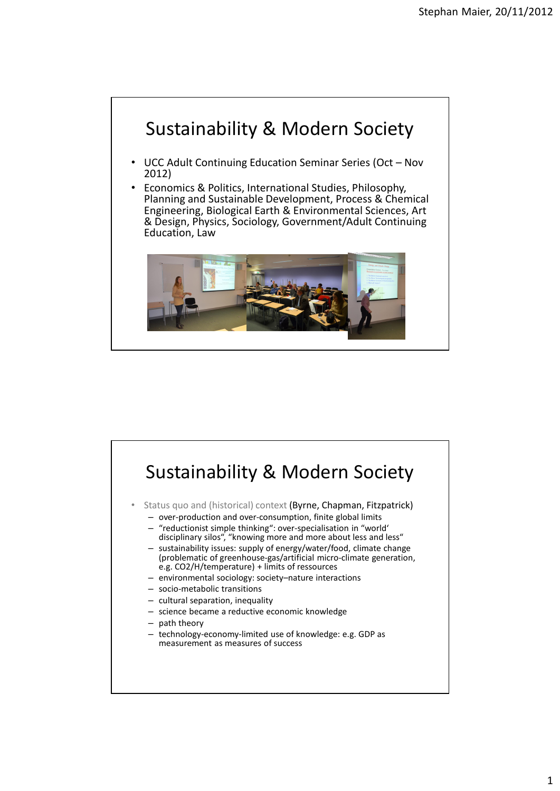

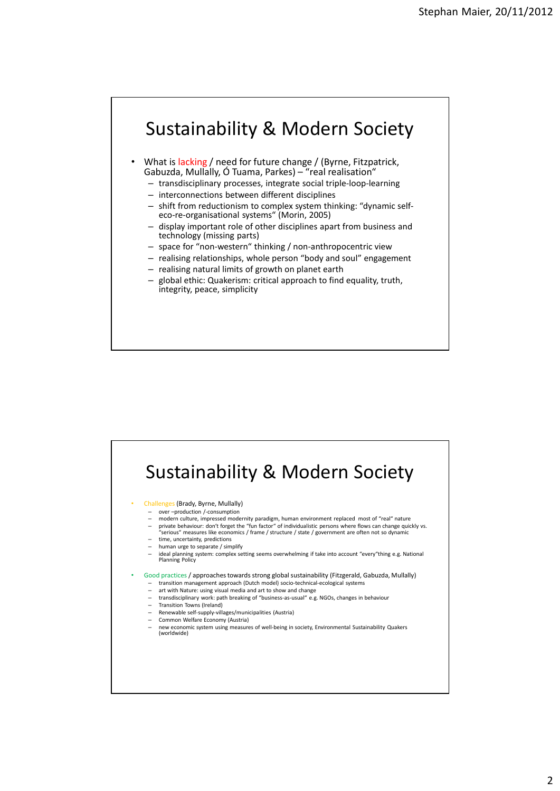## Sustainability & Modern Society

- What is lacking / need for future change / (Byrne, Fitzpatrick, Gabuzda, Mullally, Ó Tuama, Parkes) – "real realisation"
	- transdisciplinary processes, integrate social triple-loop-learning
	- interconnections between different disciplines
	- shift from reductionism to complex system thinking: "dynamic selfeco-re-organisational systems" (Morin, 2005)
	- display important role of other disciplines apart from business and technology (missing parts)
	- space for "non-western" thinking / non-anthropocentric view
	- realising relationships, whole person "body and soul" engagement
	- realising natural limits of growth on planet earth
	- global ethic: Quakerism: critical approach to find equality, truth, integrity, peace, simplicity